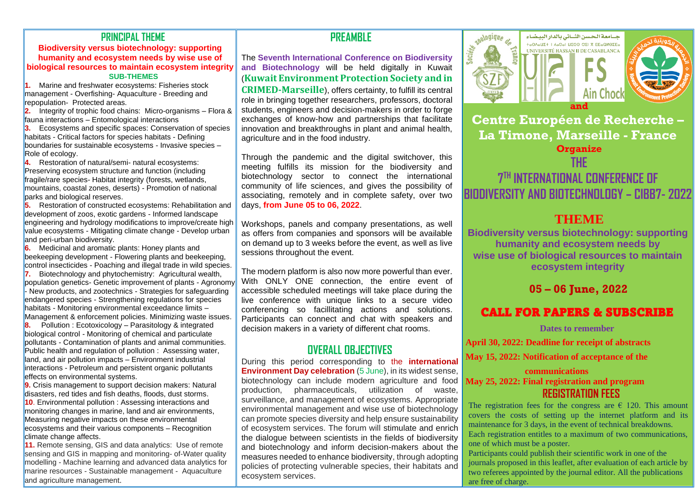## **PRINCIPAL THEME**

### **Biodiversity versus biotechnology: supporting humanity and ecosystem needs by wise use of biological resources to maintain ecosystem integrity SUB-THEMES**

**1.** Marine and freshwater ecosystems: Fisheries stock management - Overfishing- Aquaculture - Breeding and repopulation- Protected areas.

**2.** Integrity of trophic food chains: Micro-organisms – Flora & fauna interactions – Entomological interactions

**3.** Ecosystems and specific spaces: Conservation of species habitats - Critical factors for species habitats - Defining boundaries for sustainable ecosystems - Invasive species – Role of ecology.

**4.** Restoration of natural/semi- natural ecosystems: Preserving ecosystem structure and function (including fragile/rare species- Habitat integrity (forests, wetlands, mountains, coastal zones, deserts) - Promotion of national parks and biological reserves.

**5.** Restoration of constructed ecosystems: Rehabilitation and development of zoos, exotic gardens - Informed landscape engineering and hydrology modifications to improve/create high value ecosystems - Mitigating climate change - Develop urban and peri-urban biodiversity.

**6.** Medicinal and aromatic plants: Honey plants and beekeeping development - Flowering plants and beekeeping, control insecticides - Poaching and illegal trade in wild species.

**7.** Biotechnology and phytochemistry: Agricultural wealth, population genetics- Genetic improvement of plants - Agronomy - New products, and zootechnics - Strategies for safeguarding endangered species - Strengthening regulations for species habitats - Monitoring environmental exceedance limits – Management & enforcement policies. Minimizing waste issues.

**8.** Pollution : Ecotoxicology – Parasitology & integrated biological control - Monitoring of chemical and particulate pollutants - Contamination of plants and animal communities. Public health and regulation of pollution : Assessing water, land, and air pollution impacts – Environment industrial interactions - Petroleum and persistent organic pollutants leffects on environmental systems.

**9.** Crisis management to support decision makers: Natural disasters, red tides and fish deaths, floods, dust storms. **10**. Environmental pollution : Assessing interactions and monitoring changes in marine, land and air environments, Measuring negative impacts on these environmental ecosystems and their various components – Recognition climate change affects.

**11.** Remote sensing, GIS and data analytics: Use of remote sensing and GIS in mapping and monitoring- of-Water quality modelling - Machine learning and advanced data analytics for marine resources - Sustainable management - Aquaculture and agriculture management.

## **PREAMBLE**

The **Seventh International Conference on Biodiversity and Biotechnology** will be held digitally in Kuwait (**Kuwait Environment Protection Society and in** 

**CRIMED-Marseille**), offers certainty, to fulfill its central role in bringing together researchers, professors, doctoral students, engineers and decision-makers in order to forge exchanges of know-how and partnerships that facilitate innovation and breakthroughs in plant and animal health, agriculture and in the food industry.

Through the pandemic and the digital switchover, this meeting fulfills its mission for the biodiversity and biotechnology sector to connect the international community of life sciences, and gives the possibility of associating, remotely and in complete safety, over two days, **from June 05 to 06, 2022**.

Workshops, panels and company presentations, as well as offers from companies and sponsors will be available on demand up to 3 weeks before the event, as well as live sessions throughout the event.

The modern platform is also now more powerful than ever. With ONLY ONE connection, the entire event of accessible scheduled meetings will take place during the live conference with unique links to a secure video conferencing so facillitating actions and solutions. Participants can connect and chat with speakers and decision makers in a variety of different chat rooms.

## **OVERALL OBJECTIVES**

During this period corresponding to the **international Environment Day celebration** (5 June), in its widest sense, biotechnology can include modern agriculture and food production, pharmaceuticals, utilization of waste, surveillance, and management of ecosystems. Appropriate environmental management and wise use of biotechnology can promote species diversity and help ensure sustainability of ecosystem services. The forum will stimulate and enrich the dialogue between scientists in the fields of biodiversity and biotechnology and inform decision-makers about the measures needed to enhance biodiversity, through adopting policies of protecting vulnerable species, their habitats and ecosystem services.



**Centre Européen de Recherche – La Timone, Marseille - France Organize THE 7 TH INTERNATIONAL CONFERENCE OF BIODIVERSITY AND BIOTECHNOLOGY – CIBB7- 2022**

# **THEME**

**Biodiversity versus biotechnology: supporting humanity and ecosystem needs by wise use of biological resources to maintain ecosystem integrity**

## **05 – 06 June, 2022**

## CALL FOR PAPERS & SUBSCRIBE

**Dates to remember**

**April 30, 2022: Deadline for receipt of abstracts**

**May 15, 2022: Notification of acceptance of the**

### **communications**

**May 25, 2022: Final registration and program REGISTRATION FEES**

The registration fees for the congress are  $\epsilon$  120. This amount covers the costs of setting up the internet platform and its maintenance for 3 days, in the event of technical breakdowns. Each registration entitles to a maximum of two communications, one of which must be a poster.

Participants could publish their scientific work in one of the journals proposed in this leaflet, after evaluation of each article by two referees appointed by the journal editor. All the publications are free of charge.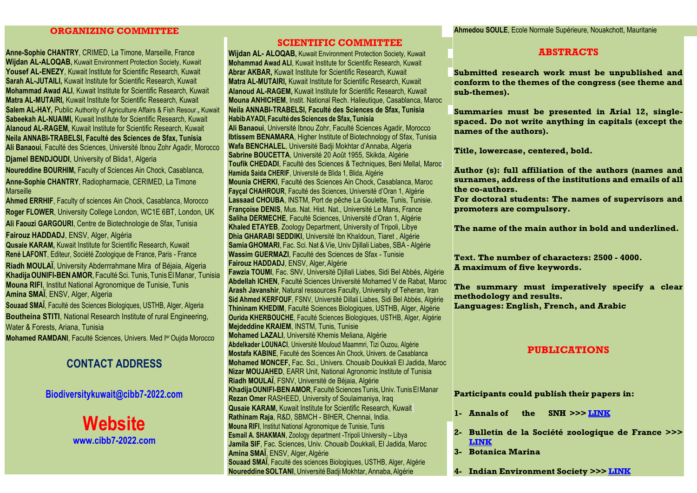### **ORGANIZING COMMITTEE**

**Anne-Sophie CHANTRY**, CRIMED, La Timone, Marseille, France **Wijdan AL-ALOQAB,** Kuwait Environment Protection Society, Kuwait **Yousef AL-ENEZY**, Kuwait Institute for Scientific Research, Kuwait **Sarah AL-JUTAILI,** Kuwait Institute for Scientific Research, Kuwait **Mohammad Awad ALI**, Kuwait Institute for Scientific Research, Kuwait **Matra AL-MUTAIRI,** Kuwait Institute for Scientific Research, Kuwait **Salem AL-HAY,** Public Authority of Agriculture Affairs & Fish Resour.**,** Kuwait **Sabeekah AL-NUAIMI,** Kuwait Institute for Scientific Research, Kuwait **Alanoud AL-RAGEM,** Kuwait Institute for Scientific Research, Kuwait **Neila ANNABI-TRABELSI, Faculté des Sciences de Sfax, Tunisia Ali Banaoui**, Faculté des Sciences, Université Ibnou Zohr Agadir, Morocco **Djamel BENDJOUDI, University of Blida1, Algeria Noureddine BOURHIM,** Faculty of Sciences Ain Chock, Casablanca, **Anne-Sophie CHANTRY**, Radiopharmacie, CERIMED, La Timone **Marseille Ahmed ERRHIF**, Faculty of sciences Ain Chock, Casablanca, Morocco **Roger FLOWER**, University College London, WC1E 6BT, London, UK

**Ali Faouzi GARGOURI**, Centre de Biotechnologie de Sfax, Tunisia **Fairouz HADDADJ**, ENSV, Alger, Algéria

**Qusaie KARAM,** Kuwait Institute for Scientific Research, Kuwait **René LAFONT**, Editeur, Société Zoologique de France, Paris - France

**Riadh MOULAÏ**, University Abderrrahmane Mira of Béjaia, Algeria **Khadija OUNIFI-BEN AMOR, Faculté Sci. Tunis, Tunis El Manar, Tunisia Mouna RIFI**, Institut National Agronomique de Tunisie, Tunis **Amina SMAÏ**, ENSV, Alger, Algeria

**Souaad SMAÏ**, Faculté des Sciences Biologiques, USTHB, Alger, Algeria **Boutheina STITI**, National Research Institute of rural Engineering, Water & Forests, Ariana, Tunisia

**Mohamed RAMDANI**, Faculté Sciences, Univers. Med Ier Oujda Morocco

### **CONTACT ADDRESS**

### **[Biodiversitykuwait@cibb7-2022.com](mailto:Biodiversitykuwait@cibb7-2022.com)**

**Website www.cibb7-2022.com**

**SCIENTIFIC COMMITTEE Wijdan AL- ALOQAB,** Kuwait Environment Protection Society, Kuwait **Mohammad Awad ALI**, Kuwait Institute for Scientific Research, Kuwait **Abrar AKBAR,** Kuwait Institute for Scientific Research, Kuwait **Matra AL-MUTAIRI,** Kuwait Institute for Scientific Research, Kuwait **Alanoud AL-RAGEM,** Kuwait Institute for Scientific Research, Kuwait **Mouna ANHICHEM**, Instit. National Rech. Halieutique, Casablanca, Maroc **Neila ANNABI-TRABELSI, Faculté des Sciences de Sfax, Tunisia HabibAYADI, FacultédesSciences de Sfax, Tunisia Ali Banaoui**, Université Ibnou Zohr, Faculté Sciences Agadir, Morocco **Ibtissem BENAMARA**, Higher Institute of Biotechnology of Sfax, Tunisia **Wafa BENCHALEL**, Université Badji Mokhtar d'Annaba, Algeria **Sabrine BOUCETTA**, Université 20 Août 1955, Skikda, Algérie **Toufik CHEDADI**, Faculté des Sciences & Techniques, Beni Mellal, Maroc **Hamida Saida CHERIF**, Université de Blida 1, Blida, Algérie **Mounia CHERKI**, Faculté des Sciences Ain Chock, Casablanca, Maroc **Fayçal CHAHROUR**, Faculté des Sciences, Université d'Oran 1, Algérie **Lassaad CHOUBA**, INSTM, Port de pêche La Goulette, Tunis, Tunisie. **Françoise DENIS**, Mus. Nat. Hist. Nat., Université Le Mans, France **Saliha DERMECHE**, Faculté Sciences, Université d'Oran 1, Algérie **Khaled ETAYEB**, Zoology Department, University of Tripoli, Libye **Dhia GHARABI SEDDIKI**, Université Ibn Khaldoun, Tiaret , Algérie **Samia GHOMARI**, Fac. Sci. Nat & Vie, Univ Diillali Liabes, SBA - Algérie **Wassim GUERMAZI**, Faculté des Sciences de Sfax - Tunisie **Fairouz HADDADJ**, ENSV, Alger,Algérie **Fawzia TOUMI**, Fac. SNV, Université Djillali Liabes, Sidi Bel Abbés, Algérie **Abdellah ICHEN**, Faculté Sciences Université Mohamed V de Rabat, Maroc **Arash Javanshir**, Natural ressources Faculty, University of Teheran, Iran **Sid Ahmed KERFOUF**, FSNV, Université Dillali Liabes, Sidi Bel Abbés, Algérie **Thininam KHEDIM**, Faculté Sciences Biologiques, USTHB, Alger, Algérie **Ourida KHERBOUCHE**, Faculté Sciences Biologiques, USTHB, Alger, Algérie **Mejdeddine KRAIEM**, INSTM, Tunis, Tunisie **Mohamed LAZALI**, Université Khemis Meliana, Algérie **Abdelkader LOUNACI**, Université Mouloud Maammri, Tizi Ouzou, Algérie **Mostafa KABINE**, Faculté des Sciences Ain Chock, Univers. de Casablanca **Mohamed MONCEF,** Fac. Sci., Univers. Chouaib Doukkali El Jadida, Maroc **Nizar MOUJAHED**, EARR Unit, National Agronomic Institute of Tunisia **Riadh MOULAÏ**, FSNV, Université de Béjaia, Algérie **Khadija OUNIFI-BEN AMOR, Faculté Sciences Tunis, Univ. Tunis El Manar Rezan Omer** RASHEED, University of Soulaimaniya, Iraq

**Qusaie KARAM,** Kuwait Institute for Scientific Research, Kuwait **Rathinam Raja**, R&D, SBMCH - BIHER, Chennai, India. **Mouna RIFI**, Institut National Agronomique de Tunisie, Tunis **Esmail A. SHAKMAN**, Zoology department -Tripoli University – Libya **Jamila SIF**, Fac. Sciences, Univ. Chouaib Doukkali, El Jadida, Maroc

**Souaad SMAÏ**, Faculté des sciences Biologiques, USTHB, Alger, Algérie **Noureddine SOLTANI**, Université Badji Mokhtar, Annaba, Algérie

**Amina SMAÏ**, ENSV, Alger,Algérie

**Ahmedou SOULE**, Ecole Normale Supérieure, Nouakchott, Mauritanie

### **ABSTRACTS**

**Submitted research work must be unpublished and conform to the themes of the congress (see theme and sub-themes).** 

**Summaries must be presented in Arial 12, singlespaced. Do not write anything in capitals (except the names of the authors).** 

**Title, lowercase, centered, bold.**

**Author (s): full affiliation of the authors (names and surnames, address of the institutions and emails of all the co-authors.** 

**For doctoral students: The names of supervisors and promoters are compulsory.** 

**The name of the main author in bold and underlined.**

**Text. The number of characters: 2500 - 4000. A maximum of five keywords.** 

**The summary must imperatively specify a clear methodology and results. Languages: English, French, and Arabic** 

#### **PUBLICATIONS**

#### **Participants could publish their papers in:**

- **1- Annals of the SNH >>[> LINK](https://zdjp.si/wp-%20content/uploads/2015/06/Annales-SHN_navodila-avtorjem_ENG.pdf)**
- **2- Bulletin de la Société zoologique de France >>> [LINK](https://societe-zoologique.fr/)**
- **3- Botanica Marina**
- **4- Indian Environment Society >>[> LINK](http://www.iesglobal.org/)**